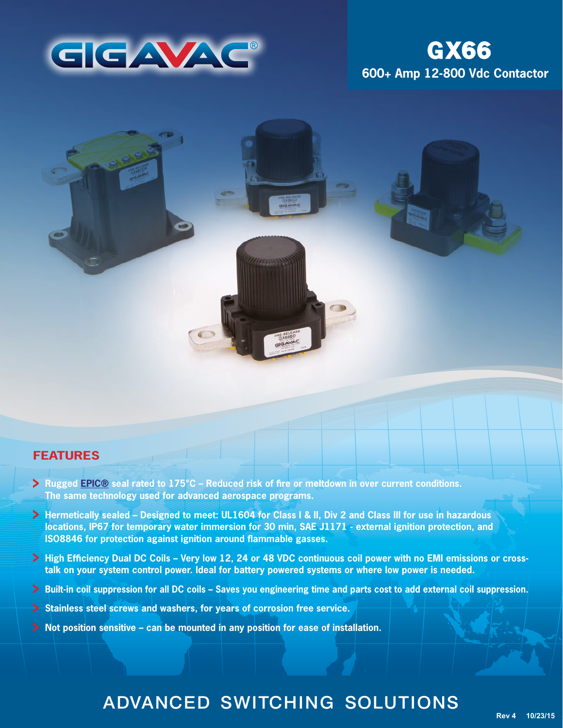

# **600+ Amp 12-800 Vdc Contactor GX66**

## **FEATURES**

- **Rugged [EPIC®](http://www.gigavac.com/application-notes/power-products/gigavac-patended-epic-technology) seal rated to 175°C Reduced risk of fire or meltdown in over current conditions. The same technology used for advanced aerospace programs.**
- **Hermetically sealed Designed to meet: UL1604 for Class I & II, Div 2 and Class III for use in hazardous locations, IP67 for temporary water immersion for 30 min, SAE J1171 - external ignition protection, and ISO8846 for protection against ignition around flammable gasses.**
- **High Efficiency Dual DC Coils Very low 12, 24 or 48 VDC continuous coil power with no EMI emissions or crosstalk on your system control power. Ideal for battery powered systems or where low power is needed.**
- **Built-in coil suppression for all DC coils Saves you engineering time and parts cost to add external coil suppression.**
- **Stainless steel screws and washers, for years of corrosion free service.**
- **Not position sensitive can be mounted in any position for ease of installation.**

# ADVANCED SWITCHING SOLUTIONS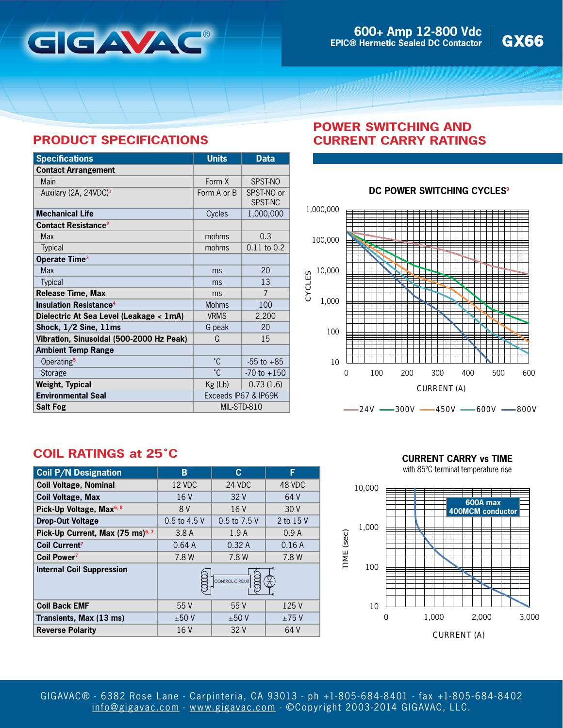

# **PRODUCT SPECIFICATIONS**

| <b>Specifications</b>                    | <b>Units</b>         | <b>Data</b>           |
|------------------------------------------|----------------------|-----------------------|
| <b>Contact Arrangement</b>               |                      |                       |
| Main                                     | Form X               | SPST-NO               |
| Auxilary (2A, 24VDC) <sup>1</sup>        | Form A or B          | SPST-NO or<br>SPST-NC |
| <b>Mechanical Life</b>                   | Cycles               | 1,000,000             |
| <b>Contact Resistance<sup>2</sup></b>    |                      |                       |
| Max                                      | mohms                | 0.3                   |
| Typical                                  | mohms                | $0.11$ to $0.2$       |
| Operate Time <sup>3</sup>                |                      |                       |
| <b>Max</b>                               | ms                   | 20                    |
| <b>Typical</b>                           | ms                   | 13                    |
| <b>Release Time, Max</b>                 | ms                   | $\overline{7}$        |
| <b>Insulation Resistance<sup>4</sup></b> | <b>Mohms</b>         | 100                   |
| Dielectric At Sea Level (Leakage < 1mA)  | <b>VRMS</b>          | 2,200                 |
| Shock, $1/2$ Sine, $11ms$                | G peak               | 20                    |
| Vibration, Sinusoidal (500-2000 Hz Peak) | G                    | 15                    |
| <b>Ambient Temp Range</b>                |                      |                       |
| Operating <sup>5</sup>                   | °C.                  | $-55$ to $+85$        |
| Storage                                  | °С                   | $-70$ to $+150$       |
| Weight, Typical                          | Kg (Lb)              | 0.73(1.6)             |
| <b>Environmental Seal</b>                | Exceeds IP67 & IP69K |                       |
| <b>Salt Fog</b>                          | MIL-STD-810          |                       |

## **POWER SWITCHING AND CURRENT CARRY RATINGS**

### **DC POWER SWITCHING CYCLES<sup>9</sup>**



# **COIL RATINGS at 25˚C**

| <b>Coil P/N Designation</b>                  | В               | C            | F         |
|----------------------------------------------|-----------------|--------------|-----------|
| <b>Coil Voltage, Nominal</b>                 | 12 VDC          | 24 VDC       | 48 VDC    |
| <b>Coil Voltage, Max</b>                     | 16V             | 32V          | 64 V      |
| Pick-Up Voltage, Max <sup>6, 8</sup>         | 8 V             | 16 V         | 30V       |
| <b>Drop-Out Voltage</b>                      | 0.5 to 4.5 V    | 0.5 to 7.5 V | 2 to 15 V |
| Pick-Up Current, Max (75 ms) <sup>6, 7</sup> | 3.8A            | 1.9A         | 0.9A      |
| <b>Coil Current<sup>7</sup></b>              | 0.64A           | 0.32A        | 0.16A     |
| Coil Power <sup>7</sup>                      | 7.8 W           | 7.8 W        | 7.8 W     |
| <b>Internal Coil Suppression</b>             | CONTROL CIRCUIT |              |           |
| <b>Coil Back EMF</b>                         | 55V             | 55V          | 125 V     |
| Transients, Max (13 ms)                      | ±50V            | ±50V         | ±75V      |
| <b>Reverse Polarity</b>                      | 16 V            | 32V          | 64 V      |

**CURRENT CARRY vs TIME**

with 85ºC terminal temperature rise

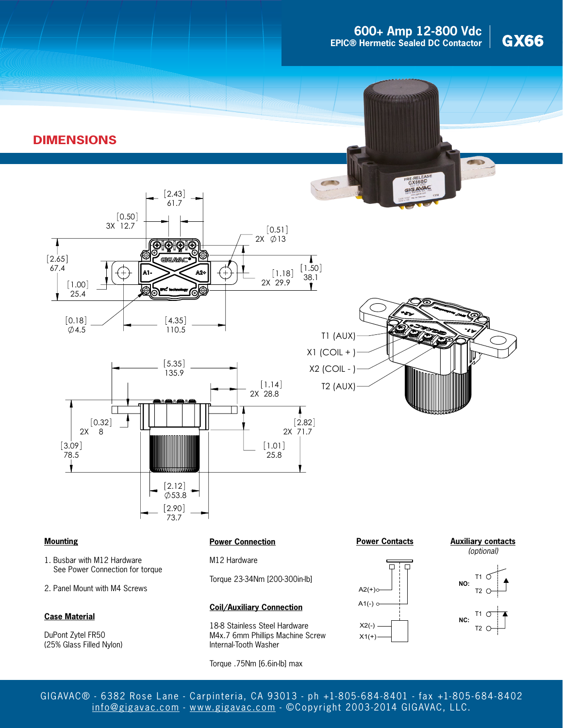

# **DIMENSIONS**



### **Mounting**

- 1. Busbar with M12 Hardware See Power Connection for torque
- 2. Panel Mount with M4 Screws

#### **Case Material**

DuPont Zytel FR50 (25% Glass Filled Nylon)

#### **Power Connection**

M12 Hardware

73.7  $[2.90]$ 

Torque 23-34Nm [200-300in-lb]

#### **Coil/Auxiliary Connection**

18-8 Stainless Steel Hardware M4x.7 6mm Phillips Machine Screw Internal-Tooth Washer

Torque .75Nm [6.6in-lb] max

#### **Power Contacts**







GIGAVAC® - 6382 Rose Lane - Carpinteria, CA 93013 - ph +1-805- 684-8401 - fax +1-805- 684-8402 [info@gigavac.com](mailto:info@gigavac.com) - <www.gigavac.com> - ©Copyright 2003-2014 GIGAVAC, LLC.